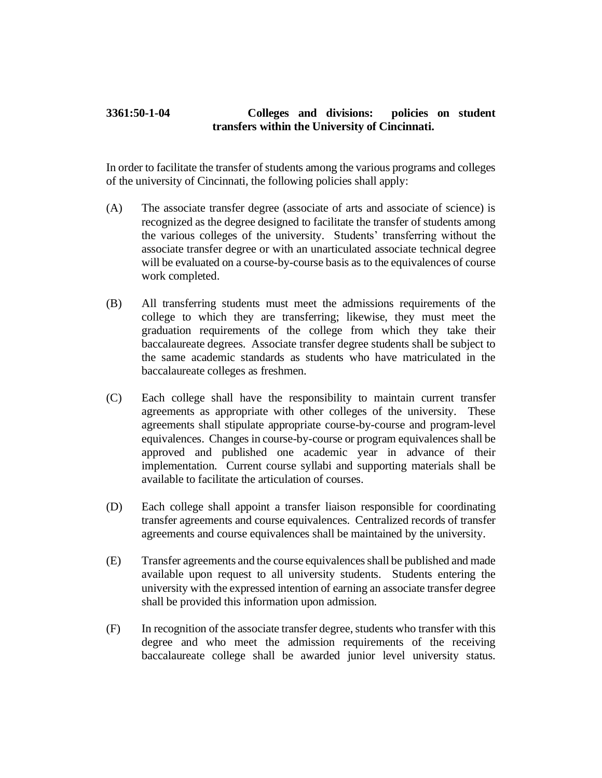## **3361:50-1-04 Colleges and divisions: policies on student transfers within the University of Cincinnati.**

In order to facilitate the transfer of students among the various programs and colleges of the university of Cincinnati, the following policies shall apply:

- (A) The associate transfer degree (associate of arts and associate of science) is recognized as the degree designed to facilitate the transfer of students among the various colleges of the university. Students' transferring without the associate transfer degree or with an unarticulated associate technical degree will be evaluated on a course-by-course basis as to the equivalences of course work completed.
- (B) All transferring students must meet the admissions requirements of the college to which they are transferring; likewise, they must meet the graduation requirements of the college from which they take their baccalaureate degrees. Associate transfer degree students shall be subject to the same academic standards as students who have matriculated in the baccalaureate colleges as freshmen.
- (C) Each college shall have the responsibility to maintain current transfer agreements as appropriate with other colleges of the university. These agreements shall stipulate appropriate course-by-course and program-level equivalences. Changes in course-by-course or program equivalences shall be approved and published one academic year in advance of their implementation. Current course syllabi and supporting materials shall be available to facilitate the articulation of courses.
- (D) Each college shall appoint a transfer liaison responsible for coordinating transfer agreements and course equivalences. Centralized records of transfer agreements and course equivalences shall be maintained by the university.
- (E) Transfer agreements and the course equivalences shall be published and made available upon request to all university students. Students entering the university with the expressed intention of earning an associate transfer degree shall be provided this information upon admission.
- (F) In recognition of the associate transfer degree, students who transfer with this degree and who meet the admission requirements of the receiving baccalaureate college shall be awarded junior level university status.